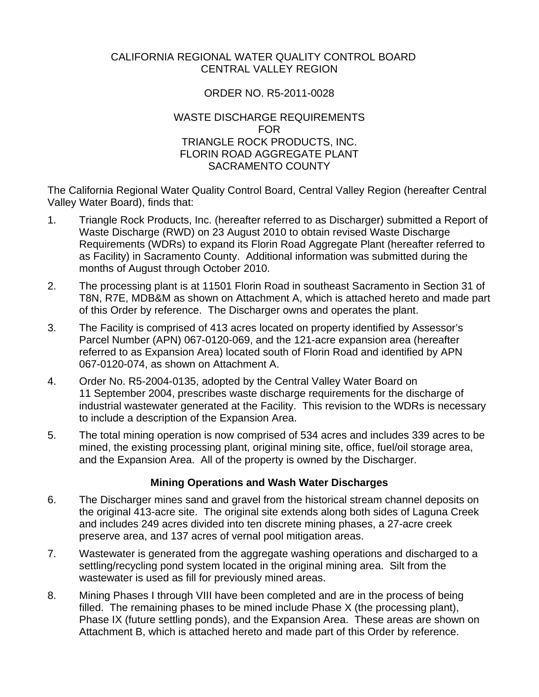#### CALIFORNIA REGIONAL WATER QUALITY CONTROL BOARD CENTRAL VALLEY REGION

# ORDER NO. R5-2011-0028

#### WASTE DISCHARGE REQUIREMENTS FOR TRIANGLE ROCK PRODUCTS, INC. FLORIN ROAD AGGREGATE PLANT SACRAMENTO COUNTY

The California Regional Water Quality Control Board, Central Valley Region (hereafter Central Valley Water Board), finds that:

- 1. Triangle Rock Products, Inc. (hereafter referred to as Discharger) submitted a Report of Waste Discharge (RWD) on 23 August 2010 to obtain revised Waste Discharge Requirements (WDRs) to expand its Florin Road Aggregate Plant (hereafter referred to as Facility) in Sacramento County. Additional information was submitted during the months of August through October 2010.
- 2. The processing plant is at 11501 Florin Road in southeast Sacramento in Section 31 of T8N, R7E, MDB&M as shown on Attachment A, which is attached hereto and made part of this Order by reference. The Discharger owns and operates the plant.
- 3. The Facility is comprised of 413 acres located on property identified by Assessor's Parcel Number (APN) 067-0120-069, and the 121-acre expansion area (hereafter referred to as Expansion Area) located south of Florin Road and identified by APN 067-0120-074, as shown on Attachment A.
- 4. Order No. R5-2004-0135, adopted by the Central Valley Water Board on 11 September 2004, prescribes waste discharge requirements for the discharge of industrial wastewater generated at the Facility. This revision to the WDRs is necessary to include a description of the Expansion Area.
- 5. The total mining operation is now comprised of 534 acres and includes 339 acres to be mined, the existing processing plant, original mining site, office, fuel/oil storage area, and the Expansion Area. All of the property is owned by the Discharger.

## **Mining Operations and Wash Water Discharges**

- 6. The Discharger mines sand and gravel from the historical stream channel deposits on the original 413-acre site. The original site extends along both sides of Laguna Creek and includes 249 acres divided into ten discrete mining phases, a 27-acre creek preserve area, and 137 acres of vernal pool mitigation areas.
- 7. Wastewater is generated from the aggregate washing operations and discharged to a settling/recycling pond system located in the original mining area. Silt from the wastewater is used as fill for previously mined areas.
- 8. Mining Phases I through VIII have been completed and are in the process of being filled. The remaining phases to be mined include Phase X (the processing plant), Phase IX (future settling ponds), and the Expansion Area. These areas are shown on Attachment B, which is attached hereto and made part of this Order by reference.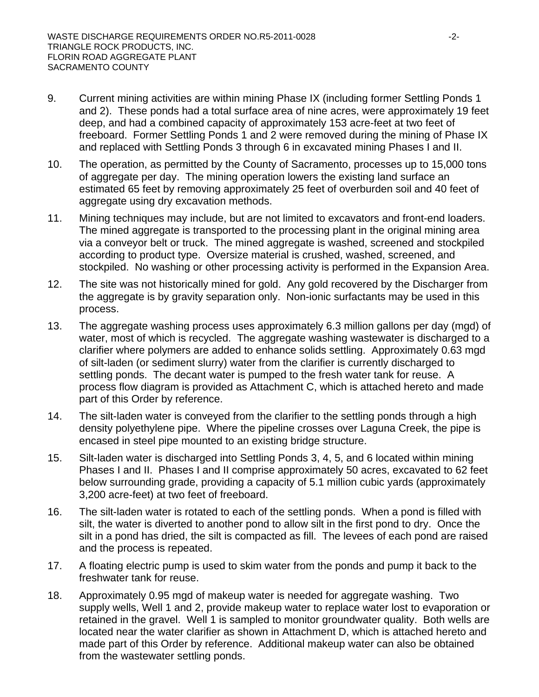- 9. Current mining activities are within mining Phase IX (including former Settling Ponds 1 and 2). These ponds had a total surface area of nine acres, were approximately 19 feet deep, and had a combined capacity of approximately 153 acre-feet at two feet of freeboard. Former Settling Ponds 1 and 2 were removed during the mining of Phase IX and replaced with Settling Ponds 3 through 6 in excavated mining Phases I and II.
- 10. The operation, as permitted by the County of Sacramento, processes up to 15,000 tons of aggregate per day. The mining operation lowers the existing land surface an estimated 65 feet by removing approximately 25 feet of overburden soil and 40 feet of aggregate using dry excavation methods.
- 11. Mining techniques may include, but are not limited to excavators and front-end loaders. The mined aggregate is transported to the processing plant in the original mining area via a conveyor belt or truck. The mined aggregate is washed, screened and stockpiled according to product type. Oversize material is crushed, washed, screened, and stockpiled. No washing or other processing activity is performed in the Expansion Area.
- 12. The site was not historically mined for gold. Any gold recovered by the Discharger from the aggregate is by gravity separation only. Non-ionic surfactants may be used in this process.
- 13. The aggregate washing process uses approximately 6.3 million gallons per day (mgd) of water, most of which is recycled. The aggregate washing wastewater is discharged to a clarifier where polymers are added to enhance solids settling. Approximately 0.63 mgd of silt-laden (or sediment slurry) water from the clarifier is currently discharged to settling ponds. The decant water is pumped to the fresh water tank for reuse. A process flow diagram is provided as Attachment C, which is attached hereto and made part of this Order by reference.
- 14. The silt-laden water is conveyed from the clarifier to the settling ponds through a high density polyethylene pipe. Where the pipeline crosses over Laguna Creek, the pipe is encased in steel pipe mounted to an existing bridge structure.
- 15. Silt-laden water is discharged into Settling Ponds 3, 4, 5, and 6 located within mining Phases I and II. Phases I and II comprise approximately 50 acres, excavated to 62 feet below surrounding grade, providing a capacity of 5.1 million cubic yards (approximately 3,200 acre-feet) at two feet of freeboard.
- 16. The silt-laden water is rotated to each of the settling ponds. When a pond is filled with silt, the water is diverted to another pond to allow silt in the first pond to dry. Once the silt in a pond has dried, the silt is compacted as fill. The levees of each pond are raised and the process is repeated.
- 17. A floating electric pump is used to skim water from the ponds and pump it back to the freshwater tank for reuse.
- 18. Approximately 0.95 mgd of makeup water is needed for aggregate washing. Two supply wells, Well 1 and 2, provide makeup water to replace water lost to evaporation or retained in the gravel. Well 1 is sampled to monitor groundwater quality. Both wells are located near the water clarifier as shown in Attachment D, which is attached hereto and made part of this Order by reference. Additional makeup water can also be obtained from the wastewater settling ponds.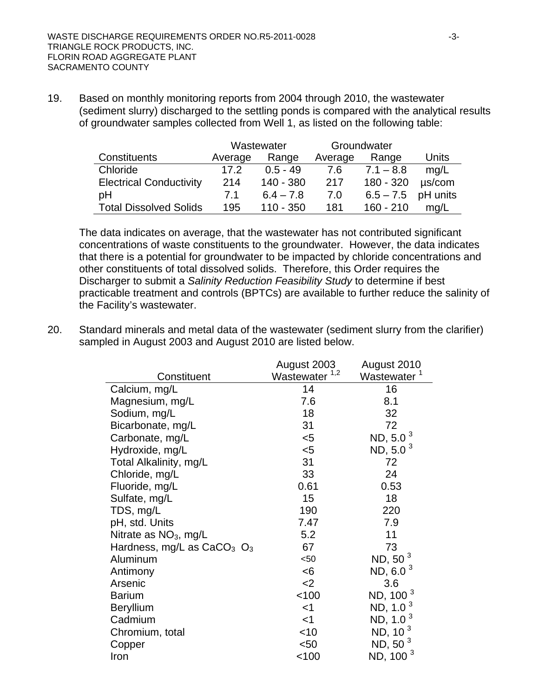19. Based on monthly monitoring reports from 2004 through 2010, the wastewater (sediment slurry) discharged to the settling ponds is compared with the analytical results of groundwater samples collected from Well 1, as listed on the following table:

|                                | Wastewater |             | Groundwater |                      |             |
|--------------------------------|------------|-------------|-------------|----------------------|-------------|
| Constituents                   | Average    | Range       | Average     | Range                | Units       |
| Chloride                       | 17.2       | $0.5 - 49$  | 7.6         | $7.1 - 8.8$          | mq/L        |
| <b>Electrical Conductivity</b> | 214        | 140 - 380   | 217         | 180 - 320            | $\mu$ s/com |
| рH                             | 7.1        | $6.4 - 7.8$ | 7.0         | $6.5 - 7.5$ pH units |             |
| <b>Total Dissolved Solids</b>  | 195        | $110 - 350$ | 181         | $160 - 210$          | mq/L        |

The data indicates on average, that the wastewater has not contributed significant concentrations of waste constituents to the groundwater. However, the data indicates that there is a potential for groundwater to be impacted by chloride concentrations and other constituents of total dissolved solids. Therefore, this Order requires the Discharger to submit a *Salinity Reduction Feasibility Study* to determine if best practicable treatment and controls (BPTCs) are available to further reduce the salinity of the Facility's wastewater.

20. Standard minerals and metal data of the wastewater (sediment slurry from the clarifier) sampled in August 2003 and August 2010 are listed below.

|                                | August 2003               | August 2010             |
|--------------------------------|---------------------------|-------------------------|
| Constituent                    | Wastewater <sup>1,2</sup> | Wastewater <sup>1</sup> |
| Calcium, mg/L                  | 14                        | 16                      |
| Magnesium, mg/L                | 7.6                       | 8.1                     |
| Sodium, mg/L                   | 18                        | 32                      |
| Bicarbonate, mg/L              | 31                        | 72                      |
| Carbonate, mg/L                | $5$                       | ND, 5.0 <sup>3</sup>    |
| Hydroxide, mg/L                | $5$                       | ND, 5.0 $3$             |
| Total Alkalinity, mg/L         | 31                        | 72                      |
| Chloride, mg/L                 | 33                        | 24                      |
| Fluoride, mg/L                 | 0.61                      | 0.53                    |
| Sulfate, mg/L                  | 15                        | 18                      |
| TDS, mg/L                      | 190                       | 220                     |
| pH, std. Units                 | 7.47                      | 7.9                     |
| Nitrate as $NO3$ , mg/L        | 5.2                       | 11                      |
| Hardness, mg/L as $CaCO3$ $O3$ | 67                        | 73                      |
| Aluminum                       | $50$                      | ND, 50 $3$              |
| Antimony                       | < 6                       | ND, 6.0 $3$             |
| Arsenic                        | $<$ 2                     | 3.6                     |
| <b>Barium</b>                  | 100                       | ND, 100 <sup>3</sup>    |
| Beryllium                      | $<$ 1                     | ND, 1.0 $3$             |
| Cadmium                        | $<$ 1                     | ND, $1.03$              |
| Chromium, total                | $<$ 10                    | ND, 10 $3$              |
| Copper                         | $50$                      | ND, 50 $3$              |
| Iron                           | 100                       | ND, 100 <sup>3</sup>    |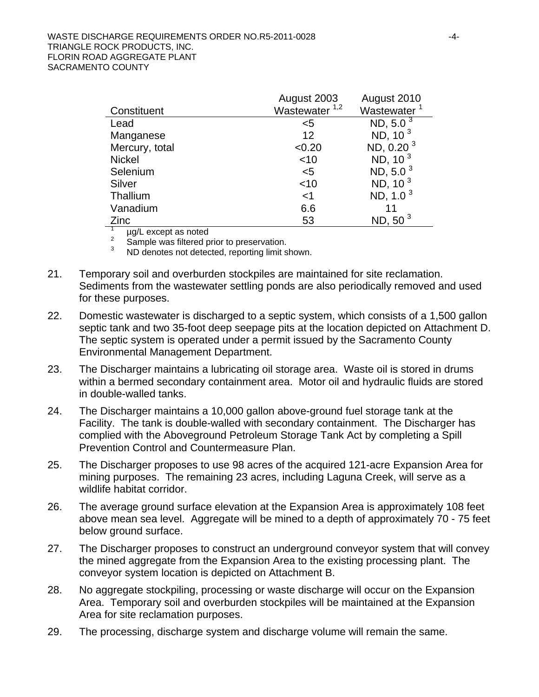|                      | August 2003      | August 2010             |
|----------------------|------------------|-------------------------|
| Constituent          | Wastewater $1,2$ | Wastewater <sup>1</sup> |
| Lead                 | <5               | ND, 5.0 $3$             |
| Manganese            | 12               | ND, $103$               |
| Mercury, total       | < 0.20           | ND, 0.20 $3$            |
| <b>Nickel</b>        | $<$ 10           | ND, 10 $3$              |
| Selenium             | $5$              | ND, 5.0 $3$             |
| Silver               | $<$ 10           | ND, $103$               |
| Thallium             | $<$ 1            | ND, $1.03$              |
| Vanadium             | 6.6              |                         |
| Zinc                 | 53               | ND, 50 $3$              |
| ug/L except as noted |                  |                         |

µg/L except as noted

2 Sample was filtered prior to preservation.

3 ND denotes not detected, reporting limit shown.

- 21. Temporary soil and overburden stockpiles are maintained for site reclamation. Sediments from the wastewater settling ponds are also periodically removed and used for these purposes.
- 22. Domestic wastewater is discharged to a septic system, which consists of a 1,500 gallon septic tank and two 35-foot deep seepage pits at the location depicted on Attachment D. The septic system is operated under a permit issued by the Sacramento County Environmental Management Department.
- 23. The Discharger maintains a lubricating oil storage area. Waste oil is stored in drums within a bermed secondary containment area. Motor oil and hydraulic fluids are stored in double-walled tanks.
- 24. The Discharger maintains a 10,000 gallon above-ground fuel storage tank at the Facility. The tank is double-walled with secondary containment. The Discharger has complied with the Aboveground Petroleum Storage Tank Act by completing a Spill Prevention Control and Countermeasure Plan.
- 25. The Discharger proposes to use 98 acres of the acquired 121-acre Expansion Area for mining purposes. The remaining 23 acres, including Laguna Creek, will serve as a wildlife habitat corridor.
- 26. The average ground surface elevation at the Expansion Area is approximately 108 feet above mean sea level. Aggregate will be mined to a depth of approximately 70 - 75 feet below ground surface.
- 27. The Discharger proposes to construct an underground conveyor system that will convey the mined aggregate from the Expansion Area to the existing processing plant. The conveyor system location is depicted on Attachment B.
- 28. No aggregate stockpiling, processing or waste discharge will occur on the Expansion Area. Temporary soil and overburden stockpiles will be maintained at the Expansion Area for site reclamation purposes.
- 29. The processing, discharge system and discharge volume will remain the same.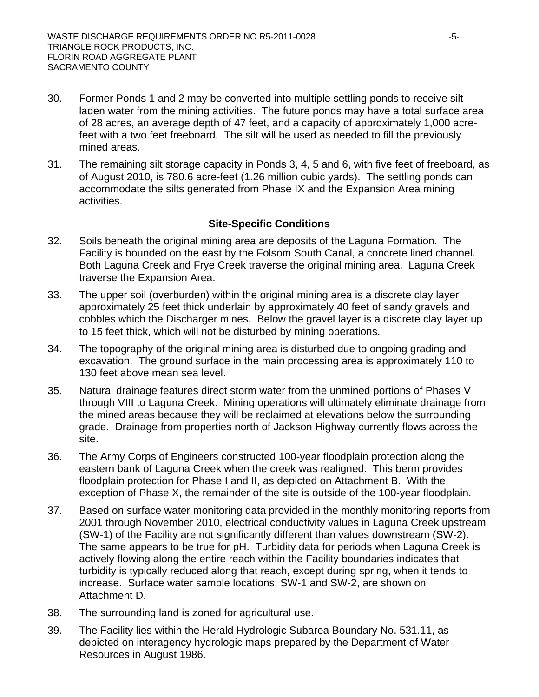- 30. Former Ponds 1 and 2 may be converted into multiple settling ponds to receive siltladen water from the mining activities. The future ponds may have a total surface area of 28 acres, an average depth of 47 feet, and a capacity of approximately 1,000 acrefeet with a two feet freeboard. The silt will be used as needed to fill the previously mined areas.
- 31. The remaining silt storage capacity in Ponds 3, 4, 5 and 6, with five feet of freeboard, as of August 2010, is 780.6 acre-feet (1.26 million cubic yards). The settling ponds can accommodate the silts generated from Phase IX and the Expansion Area mining activities.

## **Site-Specific Conditions**

- 32. Soils beneath the original mining area are deposits of the Laguna Formation. The Facility is bounded on the east by the Folsom South Canal, a concrete lined channel. Both Laguna Creek and Frye Creek traverse the original mining area. Laguna Creek traverse the Expansion Area.
- 33. The upper soil (overburden) within the original mining area is a discrete clay layer approximately 25 feet thick underlain by approximately 40 feet of sandy gravels and cobbles which the Discharger mines. Below the gravel layer is a discrete clay layer up to 15 feet thick, which will not be disturbed by mining operations.
- 34. The topography of the original mining area is disturbed due to ongoing grading and excavation. The ground surface in the main processing area is approximately 110 to 130 feet above mean sea level.
- 35. Natural drainage features direct storm water from the unmined portions of Phases V through VIII to Laguna Creek. Mining operations will ultimately eliminate drainage from the mined areas because they will be reclaimed at elevations below the surrounding grade. Drainage from properties north of Jackson Highway currently flows across the site.
- 36. The Army Corps of Engineers constructed 100-year floodplain protection along the eastern bank of Laguna Creek when the creek was realigned. This berm provides floodplain protection for Phase I and II, as depicted on Attachment B. With the exception of Phase X, the remainder of the site is outside of the 100-year floodplain.
- 37. Based on surface water monitoring data provided in the monthly monitoring reports from 2001 through November 2010, electrical conductivity values in Laguna Creek upstream (SW-1) of the Facility are not significantly different than values downstream (SW-2). The same appears to be true for pH. Turbidity data for periods when Laguna Creek is actively flowing along the entire reach within the Facility boundaries indicates that turbidity is typically reduced along that reach, except during spring, when it tends to increase. Surface water sample locations, SW-1 and SW-2, are shown on Attachment D.
- 38. The surrounding land is zoned for agricultural use.
- 39. The Facility lies within the Herald Hydrologic Subarea Boundary No. 531.11, as depicted on interagency hydrologic maps prepared by the Department of Water Resources in August 1986.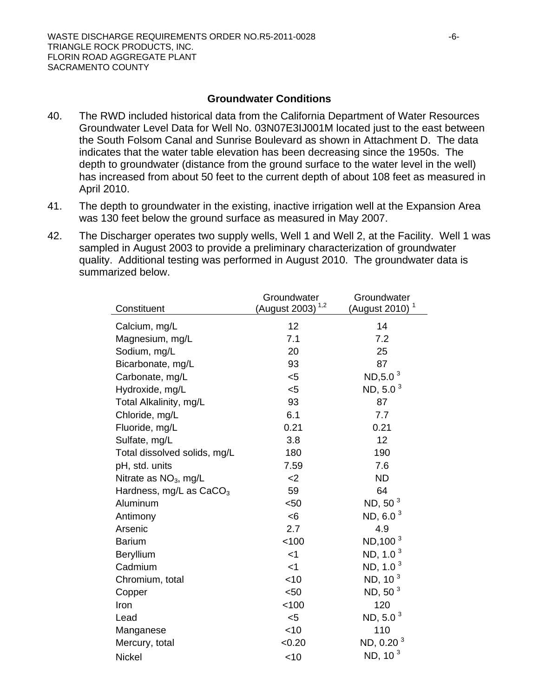#### **Groundwater Conditions**

- 40. The RWD included historical data from the California Department of Water Resources Groundwater Level Data for Well No. 03N07E3IJ001M located just to the east between the South Folsom Canal and Sunrise Boulevard as shown in Attachment D. The data indicates that the water table elevation has been decreasing since the 1950s. The depth to groundwater (distance from the ground surface to the water level in the well) has increased from about 50 feet to the current depth of about 108 feet as measured in April 2010.
- 41. The depth to groundwater in the existing, inactive irrigation well at the Expansion Area was 130 feet below the ground surface as measured in May 2007.
- 42. The Discharger operates two supply wells, Well 1 and Well 2, at the Facility. Well 1 was sampled in August 2003 to provide a preliminary characterization of groundwater quality. Additional testing was performed in August 2010. The groundwater data is summarized below.

|                              | Groundwater                  | Groundwater                |
|------------------------------|------------------------------|----------------------------|
| Constituent                  | (August 2003) <sup>1,2</sup> | (August 2010) <sup>1</sup> |
| Calcium, mg/L                | 12                           | 14                         |
| Magnesium, mg/L              | 7.1                          | 7.2                        |
| Sodium, mg/L                 | 20                           | 25                         |
| Bicarbonate, mg/L            | 93                           | 87                         |
| Carbonate, mg/L              | $5$                          | $ND, 5.0^3$                |
| Hydroxide, mg/L              | $5$                          | ND, 5.0 $^3$               |
| Total Alkalinity, mg/L       | 93                           | 87                         |
| Chloride, mg/L               | 6.1                          | 7.7                        |
| Fluoride, mg/L               | 0.21                         | 0.21                       |
| Sulfate, mg/L                | 3.8                          | 12                         |
| Total dissolved solids, mg/L | 180                          | 190                        |
| pH, std. units               | 7.59                         | 7.6                        |
| Nitrate as $NO3$ , mg/L      | $<$ 2                        | <b>ND</b>                  |
| Hardness, mg/L as $CaCO3$    | 59                           | 64                         |
| Aluminum                     | $50$                         | ND, 50 <sup>3</sup>        |
| Antimony                     | <6                           | ND, 6.0 $^3$               |
| Arsenic                      | 2.7                          | 4.9                        |
| <b>Barium</b>                | < 100                        | ND, 100 <sup>3</sup>       |
| Beryllium                    | $<$ 1                        | ND, 1.0 $3$                |
| Cadmium                      | $<$ 1                        | ND, 1.0 $^3$               |
| Chromium, total              | $<$ 10                       | ND, 10 $3$                 |
| Copper                       | $50$                         | ND, 50 $3$                 |
| Iron                         | < 100                        | 120                        |
| Lead                         | $5$                          | ND, 5.0 $3$                |
| Manganese                    | $<$ 10                       | 110                        |
| Mercury, total               | < 0.20                       | ND, 0.20 <sup>3</sup>      |
| <b>Nickel</b>                | $<$ 10                       | ND, 10 <sup>3</sup>        |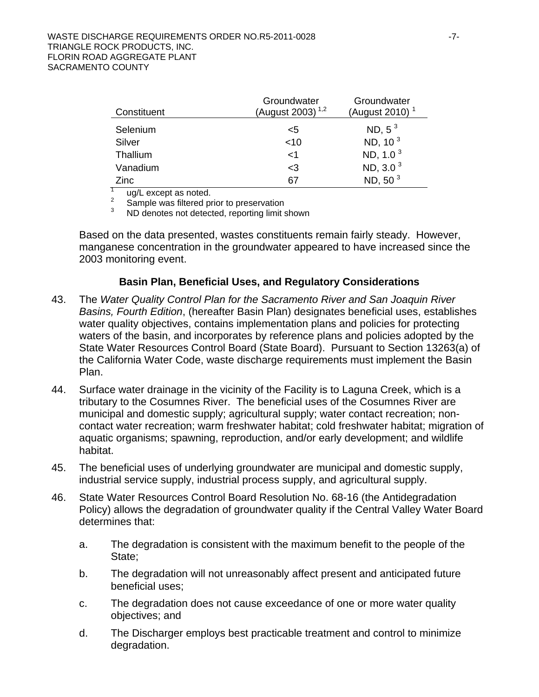| Constituent | Groundwater<br>(August 2003) <sup>1,2</sup> | Groundwater<br>(August 2010) <sup>1</sup> |
|-------------|---------------------------------------------|-------------------------------------------|
| Selenium    | <5                                          | ND, $5^3$                                 |
| Silver      | $<$ 10                                      | ND, 10 <sup>3</sup>                       |
| Thallium    | $<$ 1                                       | ND, 1.0 <sup>3</sup>                      |
| Vanadium    | $<$ 3                                       | ND, $3.03$                                |
| Zinc        | 67                                          | ND, 50 <sup>3</sup>                       |

1 ug/L except as noted.

2 Sample was filtered prior to preservation

3 ND denotes not detected, reporting limit shown

Based on the data presented, wastes constituents remain fairly steady. However, manganese concentration in the groundwater appeared to have increased since the 2003 monitoring event.

## **Basin Plan, Beneficial Uses, and Regulatory Considerations**

- 43. The *Water Quality Control Plan for the Sacramento River and San Joaquin River Basins, Fourth Edition*, (hereafter Basin Plan) designates beneficial uses, establishes water quality objectives, contains implementation plans and policies for protecting waters of the basin, and incorporates by reference plans and policies adopted by the State Water Resources Control Board (State Board). Pursuant to Section 13263(a) of the California Water Code, waste discharge requirements must implement the Basin Plan.
- 44. Surface water drainage in the vicinity of the Facility is to Laguna Creek, which is a tributary to the Cosumnes River. The beneficial uses of the Cosumnes River are municipal and domestic supply; agricultural supply; water contact recreation; noncontact water recreation; warm freshwater habitat; cold freshwater habitat; migration of aquatic organisms; spawning, reproduction, and/or early development; and wildlife habitat.
- 45. The beneficial uses of underlying groundwater are municipal and domestic supply, industrial service supply, industrial process supply, and agricultural supply.
- 46. State Water Resources Control Board Resolution No. 68-16 (the Antidegradation Policy) allows the degradation of groundwater quality if the Central Valley Water Board determines that:
	- a. The degradation is consistent with the maximum benefit to the people of the State;
	- b. The degradation will not unreasonably affect present and anticipated future beneficial uses;
	- c. The degradation does not cause exceedance of one or more water quality objectives; and
	- d. The Discharger employs best practicable treatment and control to minimize degradation.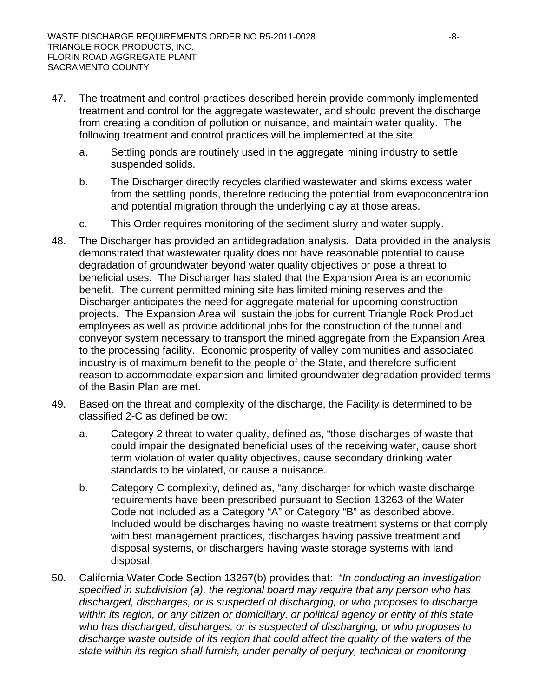- 47. The treatment and control practices described herein provide commonly implemented treatment and control for the aggregate wastewater, and should prevent the discharge from creating a condition of pollution or nuisance, and maintain water quality. The following treatment and control practices will be implemented at the site:
	- a. Settling ponds are routinely used in the aggregate mining industry to settle suspended solids.
	- b. The Discharger directly recycles clarified wastewater and skims excess water from the settling ponds, therefore reducing the potential from evapoconcentration and potential migration through the underlying clay at those areas.
	- c. This Order requires monitoring of the sediment slurry and water supply.
- 48. The Discharger has provided an antidegradation analysis. Data provided in the analysis demonstrated that wastewater quality does not have reasonable potential to cause degradation of groundwater beyond water quality objectives or pose a threat to beneficial uses. The Discharger has stated that the Expansion Area is an economic benefit. The current permitted mining site has limited mining reserves and the Discharger anticipates the need for aggregate material for upcoming construction projects. The Expansion Area will sustain the jobs for current Triangle Rock Product employees as well as provide additional jobs for the construction of the tunnel and conveyor system necessary to transport the mined aggregate from the Expansion Area to the processing facility. Economic prosperity of valley communities and associated industry is of maximum benefit to the people of the State, and therefore sufficient reason to accommodate expansion and limited groundwater degradation provided terms of the Basin Plan are met.
- 49. Based on the threat and complexity of the discharge, the Facility is determined to be classified 2-C as defined below:
	- a. Category 2 threat to water quality, defined as, "those discharges of waste that could impair the designated beneficial uses of the receiving water, cause short term violation of water quality objectives, cause secondary drinking water standards to be violated, or cause a nuisance.
	- b. Category C complexity, defined as, "any discharger for which waste discharge requirements have been prescribed pursuant to Section 13263 of the Water Code not included as a Category "A" or Category "B" as described above. Included would be discharges having no waste treatment systems or that comply with best management practices, discharges having passive treatment and disposal systems, or dischargers having waste storage systems with land disposal.
- 50. California Water Code Section 13267(b) provides that: *"In conducting an investigation specified in subdivision (a), the regional board may require that any person who has discharged, discharges, or is suspected of discharging, or who proposes to discharge within its region, or any citizen or domiciliary, or political agency or entity of this state who has discharged, discharges, or is suspected of discharging, or who proposes to discharge waste outside of its region that could affect the quality of the waters of the state within its region shall furnish, under penalty of perjury, technical or monitoring*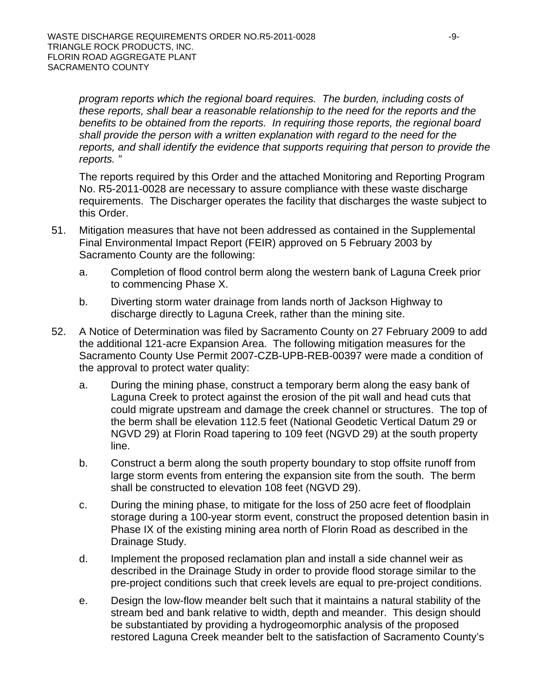*program reports which the regional board requires. The burden, including costs of these reports, shall bear a reasonable relationship to the need for the reports and the benefits to be obtained from the reports. In requiring those reports, the regional board shall provide the person with a written explanation with regard to the need for the reports, and shall identify the evidence that supports requiring that person to provide the reports. "*

The reports required by this Order and the attached Monitoring and Reporting Program No. R5-2011-0028 are necessary to assure compliance with these waste discharge requirements. The Discharger operates the facility that discharges the waste subject to this Order.

- 51. Mitigation measures that have not been addressed as contained in the Supplemental Final Environmental Impact Report (FEIR) approved on 5 February 2003 by Sacramento County are the following:
	- a. Completion of flood control berm along the western bank of Laguna Creek prior to commencing Phase X.
	- b. Diverting storm water drainage from lands north of Jackson Highway to discharge directly to Laguna Creek, rather than the mining site.
- 52. A Notice of Determination was filed by Sacramento County on 27 February 2009 to add the additional 121-acre Expansion Area. The following mitigation measures for the Sacramento County Use Permit 2007-CZB-UPB-REB-00397 were made a condition of the approval to protect water quality:
	- a. During the mining phase, construct a temporary berm along the easy bank of Laguna Creek to protect against the erosion of the pit wall and head cuts that could migrate upstream and damage the creek channel or structures. The top of the berm shall be elevation 112.5 feet (National Geodetic Vertical Datum 29 or NGVD 29) at Florin Road tapering to 109 feet (NGVD 29) at the south property line.
	- b. Construct a berm along the south property boundary to stop offsite runoff from large storm events from entering the expansion site from the south. The berm shall be constructed to elevation 108 feet (NGVD 29).
	- c. During the mining phase, to mitigate for the loss of 250 acre feet of floodplain storage during a 100-year storm event, construct the proposed detention basin in Phase IX of the existing mining area north of Florin Road as described in the Drainage Study.
	- d. Implement the proposed reclamation plan and install a side channel weir as described in the Drainage Study in order to provide flood storage similar to the pre-project conditions such that creek levels are equal to pre-project conditions.
	- e. Design the low-flow meander belt such that it maintains a natural stability of the stream bed and bank relative to width, depth and meander. This design should be substantiated by providing a hydrogeomorphic analysis of the proposed restored Laguna Creek meander belt to the satisfaction of Sacramento County's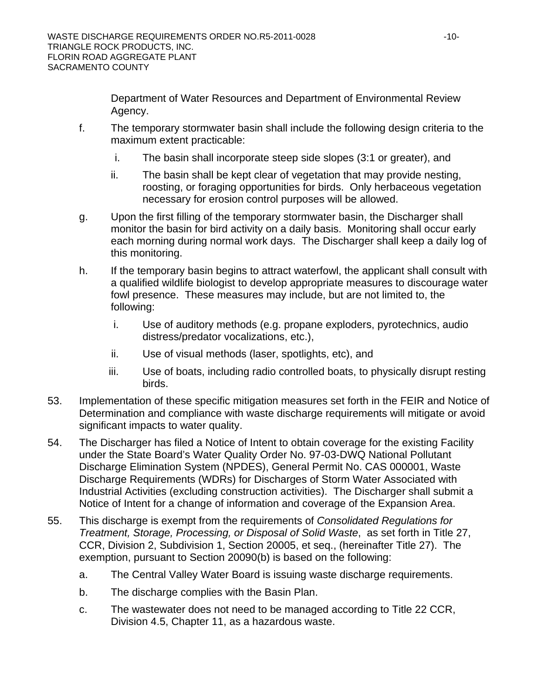Department of Water Resources and Department of Environmental Review Agency.

- f. The temporary stormwater basin shall include the following design criteria to the maximum extent practicable:
	- i. The basin shall incorporate steep side slopes (3:1 or greater), and
	- ii. The basin shall be kept clear of vegetation that may provide nesting, roosting, or foraging opportunities for birds. Only herbaceous vegetation necessary for erosion control purposes will be allowed.
- g. Upon the first filling of the temporary stormwater basin, the Discharger shall monitor the basin for bird activity on a daily basis. Monitoring shall occur early each morning during normal work days. The Discharger shall keep a daily log of this monitoring.
- h. If the temporary basin begins to attract waterfowl, the applicant shall consult with a qualified wildlife biologist to develop appropriate measures to discourage water fowl presence. These measures may include, but are not limited to, the following:
	- i. Use of auditory methods (e.g. propane exploders, pyrotechnics, audio distress/predator vocalizations, etc.),
	- ii. Use of visual methods (laser, spotlights, etc), and
	- iii. Use of boats, including radio controlled boats, to physically disrupt resting birds.
- 53. Implementation of these specific mitigation measures set forth in the FEIR and Notice of Determination and compliance with waste discharge requirements will mitigate or avoid significant impacts to water quality.
- 54. The Discharger has filed a Notice of Intent to obtain coverage for the existing Facility under the State Board's Water Quality Order No. 97-03-DWQ National Pollutant Discharge Elimination System (NPDES), General Permit No. CAS 000001, Waste Discharge Requirements (WDRs) for Discharges of Storm Water Associated with Industrial Activities (excluding construction activities). The Discharger shall submit a Notice of Intent for a change of information and coverage of the Expansion Area.
- 55. This discharge is exempt from the requirements of *Consolidated Regulations for Treatment, Storage, Processing, or Disposal of Solid Waste*, as set forth in Title 27, CCR, Division 2, Subdivision 1, Section 20005, et seq., (hereinafter Title 27). The exemption, pursuant to Section 20090(b) is based on the following:
	- a. The Central Valley Water Board is issuing waste discharge requirements.
	- b. The discharge complies with the Basin Plan.
	- c. The wastewater does not need to be managed according to Title 22 CCR, Division 4.5, Chapter 11, as a hazardous waste.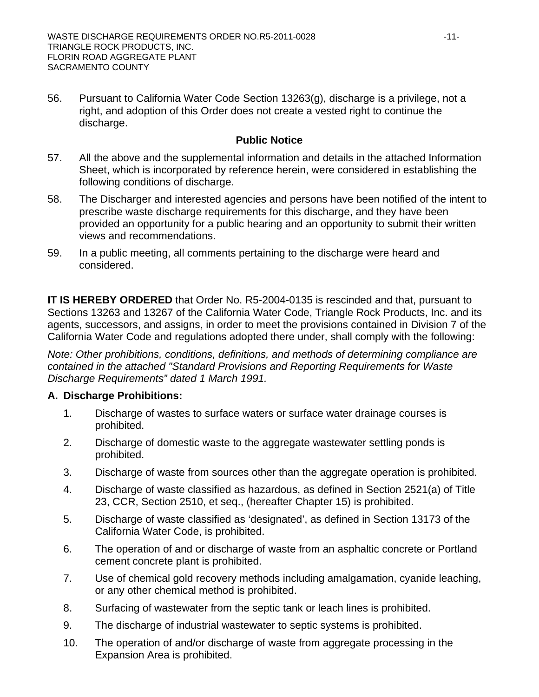56. Pursuant to California Water Code Section 13263(g), discharge is a privilege, not a right, and adoption of this Order does not create a vested right to continue the discharge.

## **Public Notice**

- 57. All the above and the supplemental information and details in the attached Information Sheet, which is incorporated by reference herein, were considered in establishing the following conditions of discharge.
- 58. The Discharger and interested agencies and persons have been notified of the intent to prescribe waste discharge requirements for this discharge, and they have been provided an opportunity for a public hearing and an opportunity to submit their written views and recommendations.
- 59. In a public meeting, all comments pertaining to the discharge were heard and considered.

**IT IS HEREBY ORDERED** that Order No. R5-2004-0135 is rescinded and that, pursuant to Sections 13263 and 13267 of the California Water Code, Triangle Rock Products, Inc. and its agents, successors, and assigns, in order to meet the provisions contained in Division 7 of the California Water Code and regulations adopted there under, shall comply with the following:

*Note: Other prohibitions, conditions, definitions, and methods of determining compliance are contained in the attached "Standard Provisions and Reporting Requirements for Waste Discharge Requirements" dated 1 March 1991.* 

## **A. Discharge Prohibitions:**

- 1. Discharge of wastes to surface waters or surface water drainage courses is prohibited.
- 2. Discharge of domestic waste to the aggregate wastewater settling ponds is prohibited.
- 3. Discharge of waste from sources other than the aggregate operation is prohibited.
- 4. Discharge of waste classified as hazardous, as defined in Section 2521(a) of Title 23, CCR, Section 2510, et seq., (hereafter Chapter 15) is prohibited.
- 5. Discharge of waste classified as 'designated', as defined in Section 13173 of the California Water Code, is prohibited.
- 6. The operation of and or discharge of waste from an asphaltic concrete or Portland cement concrete plant is prohibited.
- 7. Use of chemical gold recovery methods including amalgamation, cyanide leaching, or any other chemical method is prohibited.
- 8. Surfacing of wastewater from the septic tank or leach lines is prohibited.
- 9. The discharge of industrial wastewater to septic systems is prohibited.
- 10. The operation of and/or discharge of waste from aggregate processing in the Expansion Area is prohibited.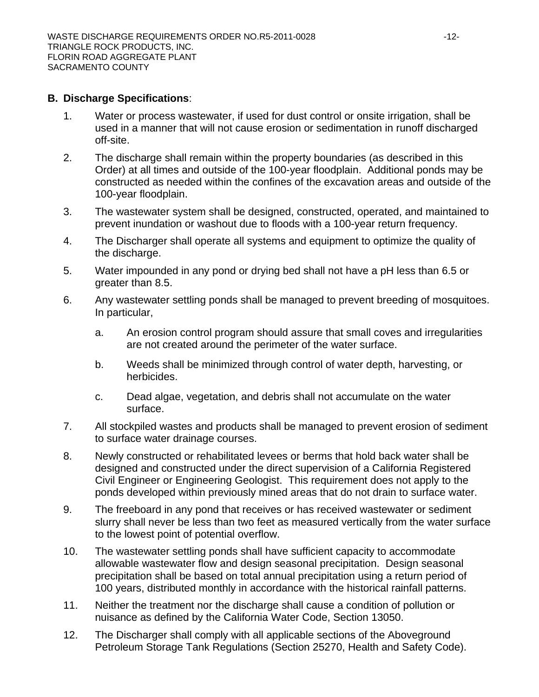#### **B. Discharge Specifications**:

- 1. Water or process wastewater, if used for dust control or onsite irrigation, shall be used in a manner that will not cause erosion or sedimentation in runoff discharged off-site.
- 2. The discharge shall remain within the property boundaries (as described in this Order) at all times and outside of the 100-year floodplain. Additional ponds may be constructed as needed within the confines of the excavation areas and outside of the 100-year floodplain.
- 3. The wastewater system shall be designed, constructed, operated, and maintained to prevent inundation or washout due to floods with a 100-year return frequency.
- 4. The Discharger shall operate all systems and equipment to optimize the quality of the discharge.
- 5. Water impounded in any pond or drying bed shall not have a pH less than 6.5 or greater than 8.5.
- 6. Any wastewater settling ponds shall be managed to prevent breeding of mosquitoes. In particular,
	- a. An erosion control program should assure that small coves and irregularities are not created around the perimeter of the water surface.
	- b. Weeds shall be minimized through control of water depth, harvesting, or herbicides.
	- c. Dead algae, vegetation, and debris shall not accumulate on the water surface.
- 7. All stockpiled wastes and products shall be managed to prevent erosion of sediment to surface water drainage courses.
- 8. Newly constructed or rehabilitated levees or berms that hold back water shall be designed and constructed under the direct supervision of a California Registered Civil Engineer or Engineering Geologist. This requirement does not apply to the ponds developed within previously mined areas that do not drain to surface water.
- 9. The freeboard in any pond that receives or has received wastewater or sediment slurry shall never be less than two feet as measured vertically from the water surface to the lowest point of potential overflow.
- 10. The wastewater settling ponds shall have sufficient capacity to accommodate allowable wastewater flow and design seasonal precipitation. Design seasonal precipitation shall be based on total annual precipitation using a return period of 100 years, distributed monthly in accordance with the historical rainfall patterns.
- 11. Neither the treatment nor the discharge shall cause a condition of pollution or nuisance as defined by the California Water Code, Section 13050.
- 12. The Discharger shall comply with all applicable sections of the Aboveground Petroleum Storage Tank Regulations (Section 25270, Health and Safety Code).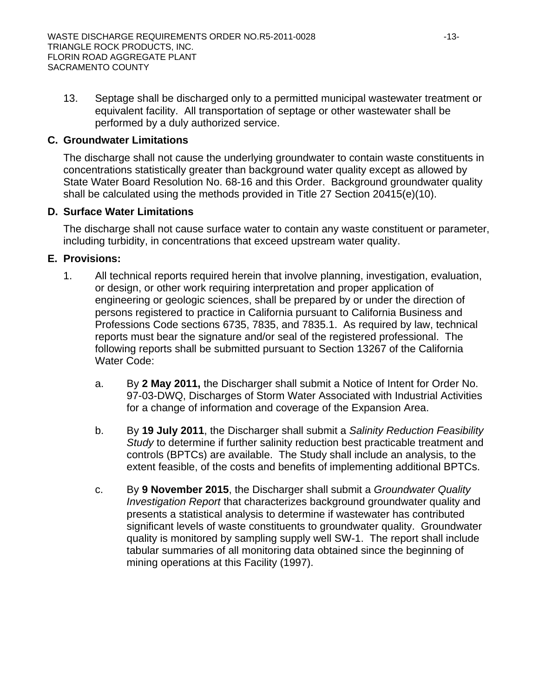13. Septage shall be discharged only to a permitted municipal wastewater treatment or equivalent facility. All transportation of septage or other wastewater shall be performed by a duly authorized service.

# **C. Groundwater Limitations**

The discharge shall not cause the underlying groundwater to contain waste constituents in concentrations statistically greater than background water quality except as allowed by State Water Board Resolution No. 68-16 and this Order. Background groundwater quality shall be calculated using the methods provided in Title 27 Section 20415(e)(10).

# **D. Surface Water Limitations**

The discharge shall not cause surface water to contain any waste constituent or parameter, including turbidity, in concentrations that exceed upstream water quality.

# **E. Provisions:**

- 1. All technical reports required herein that involve planning, investigation, evaluation, or design, or other work requiring interpretation and proper application of engineering or geologic sciences, shall be prepared by or under the direction of persons registered to practice in California pursuant to California Business and Professions Code sections 6735, 7835, and 7835.1. As required by law, technical reports must bear the signature and/or seal of the registered professional. The following reports shall be submitted pursuant to Section 13267 of the California Water Code:
	- a. By **2 May 2011,** the Discharger shall submit a Notice of Intent for Order No. 97-03-DWQ, Discharges of Storm Water Associated with Industrial Activities for a change of information and coverage of the Expansion Area.
	- b. By **19 July 2011**, the Discharger shall submit a *Salinity Reduction Feasibility Study* to determine if further salinity reduction best practicable treatment and controls (BPTCs) are available. The Study shall include an analysis, to the extent feasible, of the costs and benefits of implementing additional BPTCs.
	- c. By **9 November 2015**, the Discharger shall submit a *Groundwater Quality Investigation Report* that characterizes background groundwater quality and presents a statistical analysis to determine if wastewater has contributed significant levels of waste constituents to groundwater quality. Groundwater quality is monitored by sampling supply well SW-1. The report shall include tabular summaries of all monitoring data obtained since the beginning of mining operations at this Facility (1997).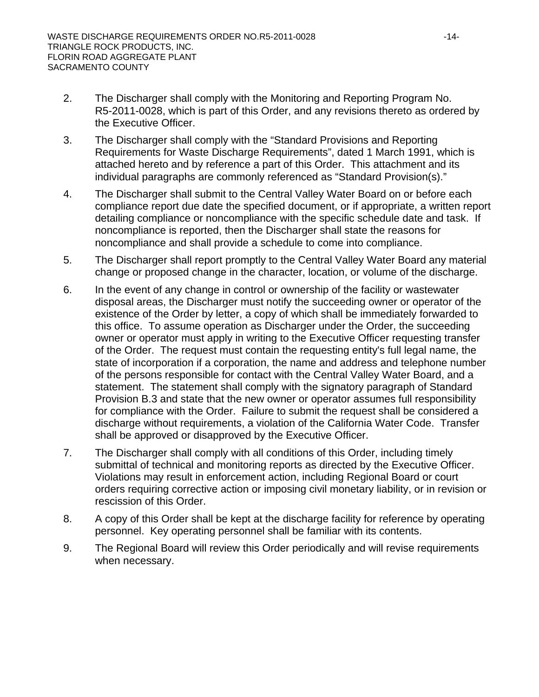- 2. The Discharger shall comply with the Monitoring and Reporting Program No. R5-2011-0028, which is part of this Order, and any revisions thereto as ordered by the Executive Officer.
- 3. The Discharger shall comply with the "Standard Provisions and Reporting Requirements for Waste Discharge Requirements", dated 1 March 1991, which is attached hereto and by reference a part of this Order. This attachment and its individual paragraphs are commonly referenced as "Standard Provision(s)."
- 4. The Discharger shall submit to the Central Valley Water Board on or before each compliance report due date the specified document, or if appropriate, a written report detailing compliance or noncompliance with the specific schedule date and task. If noncompliance is reported, then the Discharger shall state the reasons for noncompliance and shall provide a schedule to come into compliance.
- 5. The Discharger shall report promptly to the Central Valley Water Board any material change or proposed change in the character, location, or volume of the discharge.
- 6. In the event of any change in control or ownership of the facility or wastewater disposal areas, the Discharger must notify the succeeding owner or operator of the existence of the Order by letter, a copy of which shall be immediately forwarded to this office. To assume operation as Discharger under the Order, the succeeding owner or operator must apply in writing to the Executive Officer requesting transfer of the Order. The request must contain the requesting entity's full legal name, the state of incorporation if a corporation, the name and address and telephone number of the persons responsible for contact with the Central Valley Water Board, and a statement. The statement shall comply with the signatory paragraph of Standard Provision B.3 and state that the new owner or operator assumes full responsibility for compliance with the Order. Failure to submit the request shall be considered a discharge without requirements, a violation of the California Water Code. Transfer shall be approved or disapproved by the Executive Officer.
- 7. The Discharger shall comply with all conditions of this Order, including timely submittal of technical and monitoring reports as directed by the Executive Officer. Violations may result in enforcement action, including Regional Board or court orders requiring corrective action or imposing civil monetary liability, or in revision or rescission of this Order.
- 8. A copy of this Order shall be kept at the discharge facility for reference by operating personnel. Key operating personnel shall be familiar with its contents.
- 9. The Regional Board will review this Order periodically and will revise requirements when necessary.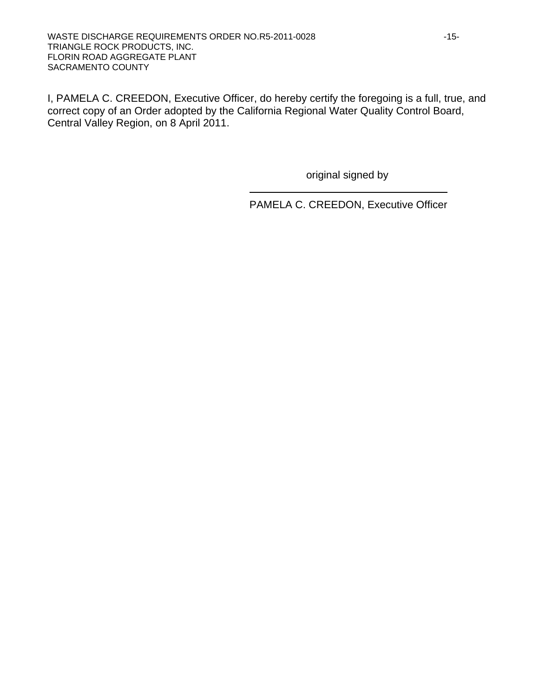I, PAMELA C. CREEDON, Executive Officer, do hereby certify the foregoing is a full, true, and correct copy of an Order adopted by the California Regional Water Quality Control Board, Central Valley Region, on 8 April 2011.

original signed by

PAMELA C. CREEDON, Executive Officer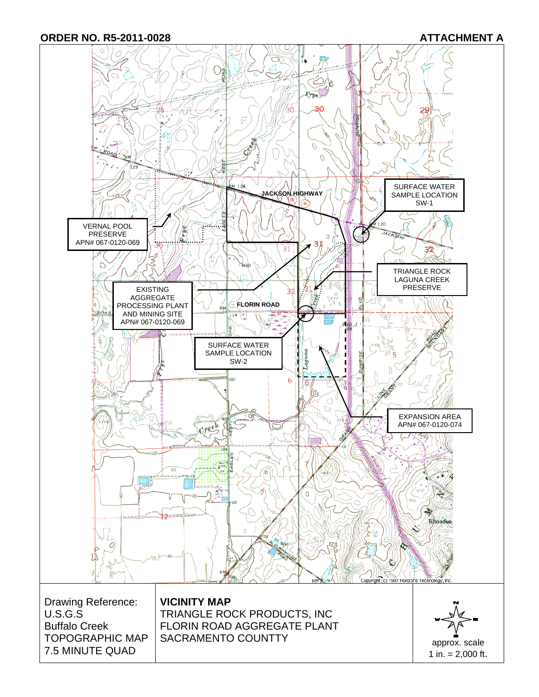**ORDER NO. R5-2011-0028 ATTACHMENT A** 

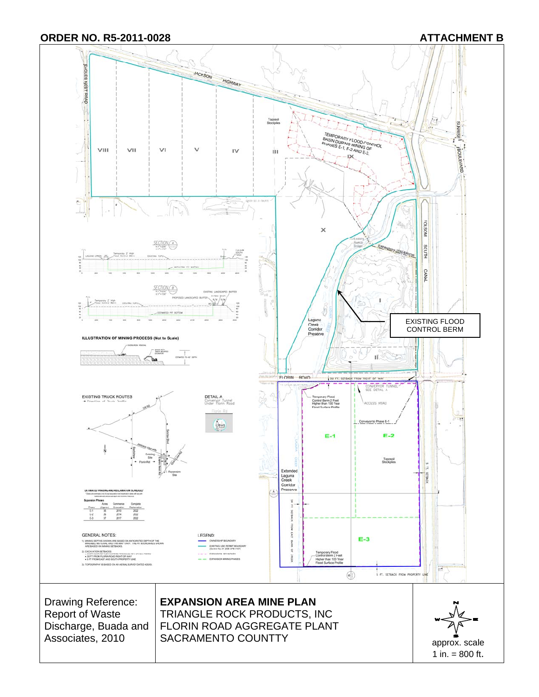

1 in. = 800 ft.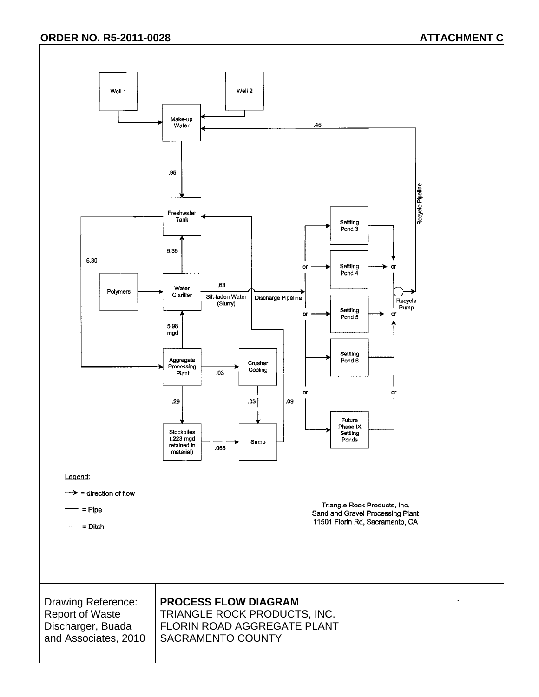## **ORDER NO. R5-2011-0028 ATTACHMENT C**

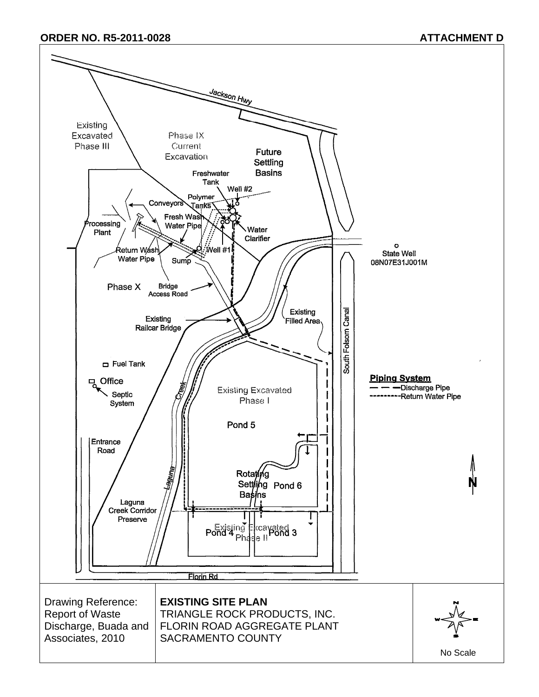#### **ORDER NO. R5-2011-0028 ATTACHMENT D**

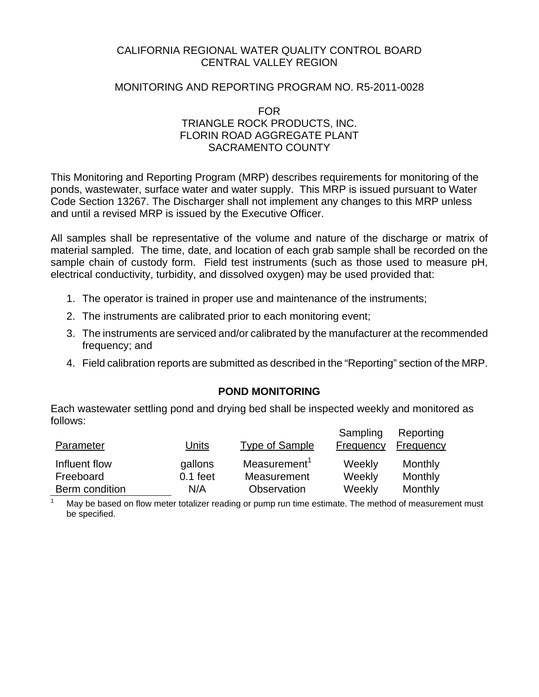## CALIFORNIA REGIONAL WATER QUALITY CONTROL BOARD CENTRAL VALLEY REGION

#### MONITORING AND REPORTING PROGRAM NO. R5-2011-0028

FOR TRIANGLE ROCK PRODUCTS, INC. FLORIN ROAD AGGREGATE PLANT SACRAMENTO COUNTY

This Monitoring and Reporting Program (MRP) describes requirements for monitoring of the ponds, wastewater, surface water and water supply. This MRP is issued pursuant to Water Code Section 13267. The Discharger shall not implement any changes to this MRP unless and until a revised MRP is issued by the Executive Officer.

All samples shall be representative of the volume and nature of the discharge or matrix of material sampled. The time, date, and location of each grab sample shall be recorded on the sample chain of custody form. Field test instruments (such as those used to measure pH, electrical conductivity, turbidity, and dissolved oxygen) may be used provided that:

- 1. The operator is trained in proper use and maintenance of the instruments;
- 2. The instruments are calibrated prior to each monitoring event;
- 3. The instruments are serviced and/or calibrated by the manufacturer at the recommended frequency; and
- 4. Field calibration reports are submitted as described in the "Reporting" section of the MRP.

## **POND MONITORING**

Each wastewater settling pond and drying bed shall be inspected weekly and monitored as follows:

| Parameter      | Units      | Type of Sample           | Sampling<br>Frequency | Reporting<br>Frequency |
|----------------|------------|--------------------------|-----------------------|------------------------|
| Influent flow  | gallons    | Measurement <sup>1</sup> | Weekly                | Monthly                |
| Freeboard      | $0.1$ feet | Measurement              | Weekly                | Monthly                |
| Berm condition | N/A        | Observation              | Weekly                | Monthly                |

1 May be based on flow meter totalizer reading or pump run time estimate. The method of measurement must be specified.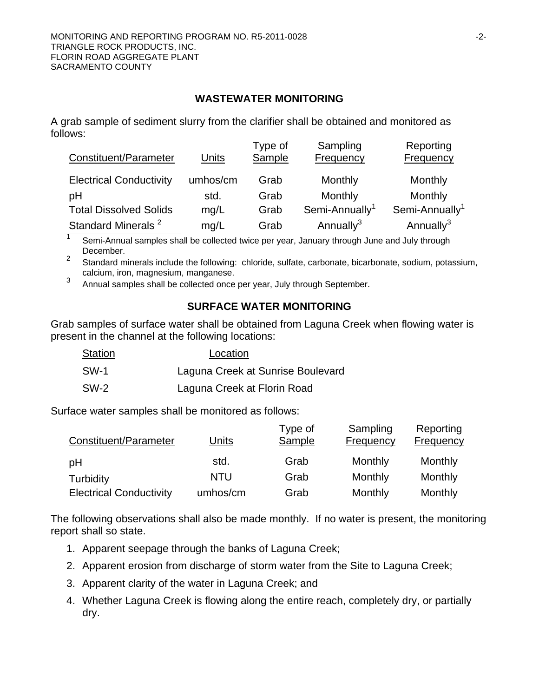## **WASTEWATER MONITORING**

A grab sample of sediment slurry from the clarifier shall be obtained and monitored as follows:

| Constituent/Parameter          | Units    | Type of<br>Sample | Sampling<br>Frequency      | Reporting<br>Frequency     |
|--------------------------------|----------|-------------------|----------------------------|----------------------------|
| <b>Electrical Conductivity</b> | umhos/cm | Grab              | Monthly                    | Monthly                    |
| pH                             | std.     | Grab              | Monthly                    | Monthly                    |
| <b>Total Dissolved Solids</b>  | mg/L     | Grab              | Semi-Annually <sup>1</sup> | Semi-Annually <sup>1</sup> |
| Standard Minerals <sup>2</sup> | mg/L     | Grab              | Annually <sup>3</sup>      | Annually $3$               |

1 Semi-Annual samples shall be collected twice per year, January through June and July through December.

2 Standard minerals include the following: chloride, sulfate, carbonate, bicarbonate, sodium, potassium, calcium, iron, magnesium, manganese.

3 Annual samples shall be collected once per year, July through September.

# **SURFACE WATER MONITORING**

Grab samples of surface water shall be obtained from Laguna Creek when flowing water is present in the channel at the following locations:

| Station | Location                          |
|---------|-----------------------------------|
| SW-1    | Laguna Creek at Sunrise Boulevard |
| SW-2    | Laguna Creek at Florin Road       |

Surface water samples shall be monitored as follows:

| Constituent/Parameter          | Units      | Type of<br>Sample | Sampling<br>Frequency | Reporting<br>Frequency |
|--------------------------------|------------|-------------------|-----------------------|------------------------|
| pH                             | std.       | Grab              | Monthly               | Monthly                |
| Turbidity                      | <b>NTU</b> | Grab              | Monthly               | Monthly                |
| <b>Electrical Conductivity</b> | umhos/cm   | Grab              | Monthly               | Monthly                |

The following observations shall also be made monthly. If no water is present, the monitoring report shall so state.

- 1. Apparent seepage through the banks of Laguna Creek;
- 2. Apparent erosion from discharge of storm water from the Site to Laguna Creek;
- 3. Apparent clarity of the water in Laguna Creek; and
- 4. Whether Laguna Creek is flowing along the entire reach, completely dry, or partially dry.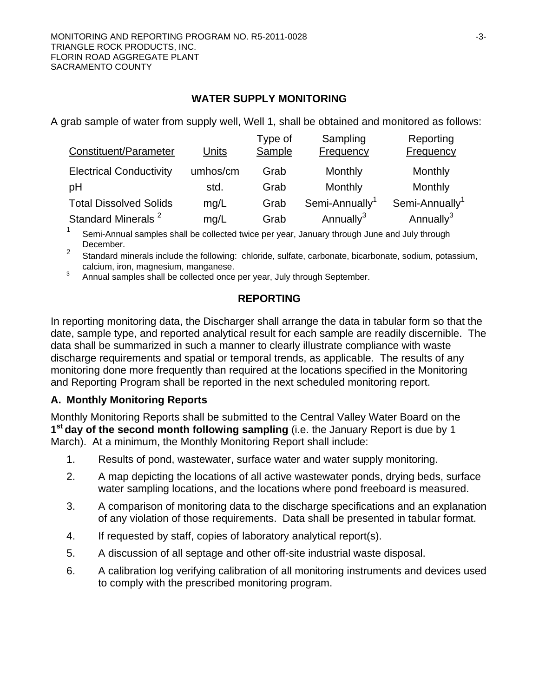## **WATER SUPPLY MONITORING**

A grab sample of water from supply well, Well 1, shall be obtained and monitored as follows:

| Constituent/Parameter          | Units    | Type of<br>Sample | Sampling<br><b>Frequency</b> | Reporting<br>Frequency     |
|--------------------------------|----------|-------------------|------------------------------|----------------------------|
| <b>Electrical Conductivity</b> | umhos/cm | Grab              | Monthly                      | Monthly                    |
| pH                             | std.     | Grab              | Monthly                      | Monthly                    |
| <b>Total Dissolved Solids</b>  | mq/L     | Grab              | Semi-Annually <sup>1</sup>   | Semi-Annually <sup>1</sup> |
| Standard Minerals <sup>2</sup> | mg/L     | Grab              | Annually <sup>3</sup>        | Annually <sup>3</sup>      |

1 Semi-Annual samples shall be collected twice per year, January through June and July through December.

2 Standard minerals include the following: chloride, sulfate, carbonate, bicarbonate, sodium, potassium, calcium, iron, magnesium, manganese.

3 Annual samples shall be collected once per year, July through September.

## **REPORTING**

In reporting monitoring data, the Discharger shall arrange the data in tabular form so that the date, sample type, and reported analytical result for each sample are readily discernible. The data shall be summarized in such a manner to clearly illustrate compliance with waste discharge requirements and spatial or temporal trends, as applicable. The results of any monitoring done more frequently than required at the locations specified in the Monitoring and Reporting Program shall be reported in the next scheduled monitoring report.

# **A. Monthly Monitoring Reports**

Monthly Monitoring Reports shall be submitted to the Central Valley Water Board on the **1st day of the second month following sampling** (i.e. the January Report is due by 1 March). At a minimum, the Monthly Monitoring Report shall include:

- 1. Results of pond, wastewater, surface water and water supply monitoring.
- 2. A map depicting the locations of all active wastewater ponds, drying beds, surface water sampling locations, and the locations where pond freeboard is measured.
- 3. A comparison of monitoring data to the discharge specifications and an explanation of any violation of those requirements. Data shall be presented in tabular format.
- 4. If requested by staff, copies of laboratory analytical report(s).
- 5. A discussion of all septage and other off-site industrial waste disposal.
- 6. A calibration log verifying calibration of all monitoring instruments and devices used to comply with the prescribed monitoring program.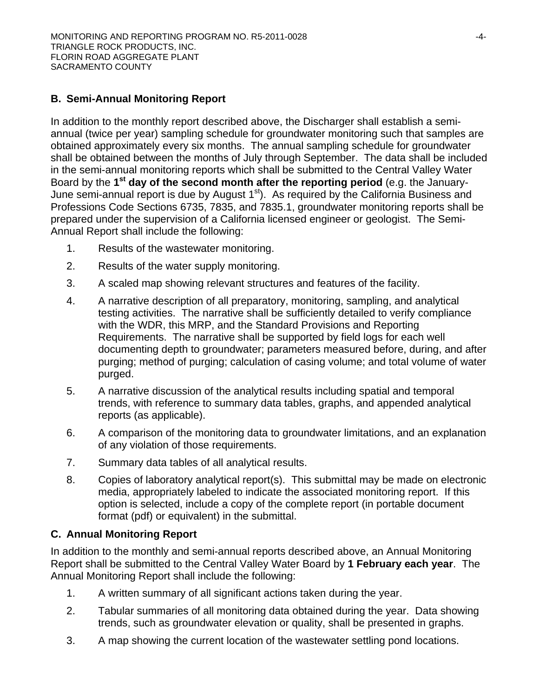# **B. Semi-Annual Monitoring Report**

In addition to the monthly report described above, the Discharger shall establish a semiannual (twice per year) sampling schedule for groundwater monitoring such that samples are obtained approximately every six months. The annual sampling schedule for groundwater shall be obtained between the months of July through September. The data shall be included in the semi-annual monitoring reports which shall be submitted to the Central Valley Water Board by the **1st day of the second month after the reporting period** (e.g. the January-June semi-annual report is due by August 1<sup>st</sup>). As required by the California Business and Professions Code Sections 6735, 7835, and 7835.1, groundwater monitoring reports shall be prepared under the supervision of a California licensed engineer or geologist. The Semi-Annual Report shall include the following:

- 1. Results of the wastewater monitoring.
- 2. Results of the water supply monitoring.
- 3. A scaled map showing relevant structures and features of the facility.
- 4. A narrative description of all preparatory, monitoring, sampling, and analytical testing activities. The narrative shall be sufficiently detailed to verify compliance with the WDR, this MRP, and the Standard Provisions and Reporting Requirements. The narrative shall be supported by field logs for each well documenting depth to groundwater; parameters measured before, during, and after purging; method of purging; calculation of casing volume; and total volume of water purged.
- 5. A narrative discussion of the analytical results including spatial and temporal trends, with reference to summary data tables, graphs, and appended analytical reports (as applicable).
- 6. A comparison of the monitoring data to groundwater limitations, and an explanation of any violation of those requirements.
- 7. Summary data tables of all analytical results.
- 8. Copies of laboratory analytical report(s). This submittal may be made on electronic media, appropriately labeled to indicate the associated monitoring report. If this option is selected, include a copy of the complete report (in portable document format (pdf) or equivalent) in the submittal.

## **C. Annual Monitoring Report**

In addition to the monthly and semi-annual reports described above, an Annual Monitoring Report shall be submitted to the Central Valley Water Board by **1 February each year**. The Annual Monitoring Report shall include the following:

- 1. A written summary of all significant actions taken during the year.
- 2. Tabular summaries of all monitoring data obtained during the year. Data showing trends, such as groundwater elevation or quality, shall be presented in graphs.
- 3. A map showing the current location of the wastewater settling pond locations.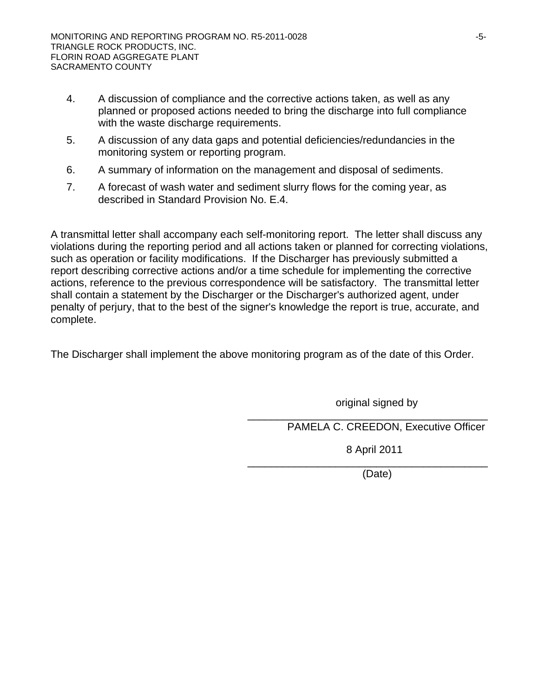- 4. A discussion of compliance and the corrective actions taken, as well as any planned or proposed actions needed to bring the discharge into full compliance with the waste discharge requirements.
- 5. A discussion of any data gaps and potential deficiencies/redundancies in the monitoring system or reporting program.
- 6. A summary of information on the management and disposal of sediments.
- 7. A forecast of wash water and sediment slurry flows for the coming year, as described in Standard Provision No. E.4.

A transmittal letter shall accompany each self-monitoring report. The letter shall discuss any violations during the reporting period and all actions taken or planned for correcting violations, such as operation or facility modifications. If the Discharger has previously submitted a report describing corrective actions and/or a time schedule for implementing the corrective actions, reference to the previous correspondence will be satisfactory. The transmittal letter shall contain a statement by the Discharger or the Discharger's authorized agent, under penalty of perjury, that to the best of the signer's knowledge the report is true, accurate, and complete.

The Discharger shall implement the above monitoring program as of the date of this Order.

original signed by

\_\_\_\_\_\_\_\_\_\_\_\_\_\_\_\_\_\_\_\_\_\_\_\_\_\_\_\_\_\_\_\_\_\_\_\_\_\_\_\_\_

PAMELA C. CREEDON, Executive Officer

8 April 2011

\_\_\_\_\_\_\_\_\_\_\_\_\_\_\_\_\_\_\_\_\_\_\_\_\_\_\_\_\_\_\_\_\_\_\_\_\_\_\_\_\_

(Date)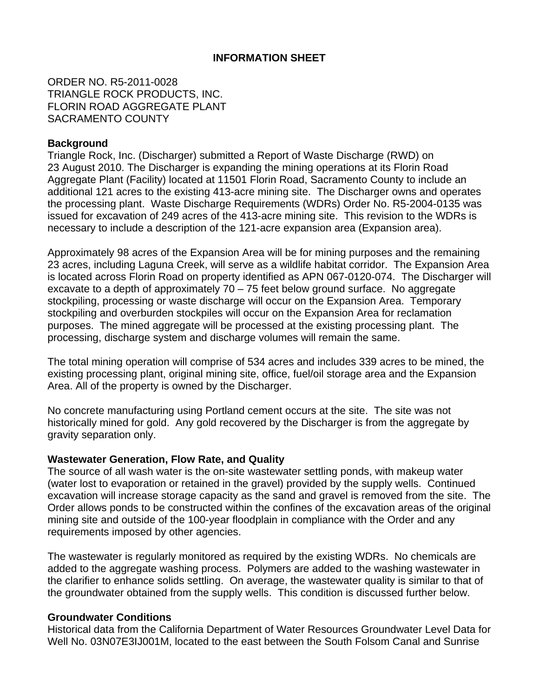## **INFORMATION SHEET**

ORDER NO. R5-2011-0028 TRIANGLE ROCK PRODUCTS, INC. FLORIN ROAD AGGREGATE PLANT SACRAMENTO COUNTY

#### **Background**

Triangle Rock, Inc. (Discharger) submitted a Report of Waste Discharge (RWD) on 23 August 2010. The Discharger is expanding the mining operations at its Florin Road Aggregate Plant (Facility) located at 11501 Florin Road, Sacramento County to include an additional 121 acres to the existing 413-acre mining site. The Discharger owns and operates the processing plant. Waste Discharge Requirements (WDRs) Order No. R5-2004-0135 was issued for excavation of 249 acres of the 413-acre mining site. This revision to the WDRs is necessary to include a description of the 121-acre expansion area (Expansion area).

Approximately 98 acres of the Expansion Area will be for mining purposes and the remaining 23 acres, including Laguna Creek, will serve as a wildlife habitat corridor. The Expansion Area is located across Florin Road on property identified as APN 067-0120-074. The Discharger will excavate to a depth of approximately 70 – 75 feet below ground surface. No aggregate stockpiling, processing or waste discharge will occur on the Expansion Area. Temporary stockpiling and overburden stockpiles will occur on the Expansion Area for reclamation purposes. The mined aggregate will be processed at the existing processing plant. The processing, discharge system and discharge volumes will remain the same.

The total mining operation will comprise of 534 acres and includes 339 acres to be mined, the existing processing plant, original mining site, office, fuel/oil storage area and the Expansion Area. All of the property is owned by the Discharger.

No concrete manufacturing using Portland cement occurs at the site. The site was not historically mined for gold. Any gold recovered by the Discharger is from the aggregate by gravity separation only.

#### **Wastewater Generation, Flow Rate, and Quality**

The source of all wash water is the on-site wastewater settling ponds, with makeup water (water lost to evaporation or retained in the gravel) provided by the supply wells. Continued excavation will increase storage capacity as the sand and gravel is removed from the site. The Order allows ponds to be constructed within the confines of the excavation areas of the original mining site and outside of the 100-year floodplain in compliance with the Order and any requirements imposed by other agencies.

The wastewater is regularly monitored as required by the existing WDRs. No chemicals are added to the aggregate washing process. Polymers are added to the washing wastewater in the clarifier to enhance solids settling. On average, the wastewater quality is similar to that of the groundwater obtained from the supply wells. This condition is discussed further below.

#### **Groundwater Conditions**

Historical data from the California Department of Water Resources Groundwater Level Data for Well No. 03N07E3IJ001M, located to the east between the South Folsom Canal and Sunrise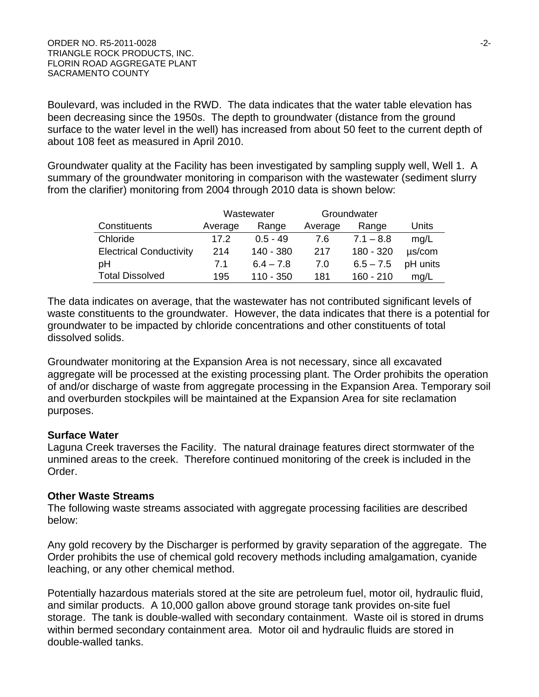Boulevard, was included in the RWD. The data indicates that the water table elevation has been decreasing since the 1950s. The depth to groundwater (distance from the ground surface to the water level in the well) has increased from about 50 feet to the current depth of about 108 feet as measured in April 2010.

Groundwater quality at the Facility has been investigated by sampling supply well, Well 1. A summary of the groundwater monitoring in comparison with the wastewater (sediment slurry from the clarifier) monitoring from 2004 through 2010 data is shown below:

|                                | Wastewater |             | Groundwater |             |             |
|--------------------------------|------------|-------------|-------------|-------------|-------------|
| Constituents                   | Average    | Range       | Average     | Range       | Units       |
| Chloride                       | 17.2       | $0.5 - 49$  | 7.6         | $7.1 - 8.8$ | mg/L        |
| <b>Electrical Conductivity</b> | 214        | 140 - 380   | 217         | 180 - 320   | $\mu$ s/com |
| pH                             | 7.1        | $6.4 - 7.8$ | 7.0         | $6.5 - 7.5$ | pH units    |
| <b>Total Dissolved</b>         | 195        | $110 - 350$ | 181         | $160 - 210$ | mq/L        |

The data indicates on average, that the wastewater has not contributed significant levels of waste constituents to the groundwater. However, the data indicates that there is a potential for groundwater to be impacted by chloride concentrations and other constituents of total dissolved solids.

Groundwater monitoring at the Expansion Area is not necessary, since all excavated aggregate will be processed at the existing processing plant. The Order prohibits the operation of and/or discharge of waste from aggregate processing in the Expansion Area. Temporary soil and overburden stockpiles will be maintained at the Expansion Area for site reclamation purposes.

## **Surface Water**

Laguna Creek traverses the Facility. The natural drainage features direct stormwater of the unmined areas to the creek. Therefore continued monitoring of the creek is included in the Order.

## **Other Waste Streams**

The following waste streams associated with aggregate processing facilities are described below:

Any gold recovery by the Discharger is performed by gravity separation of the aggregate. The Order prohibits the use of chemical gold recovery methods including amalgamation, cyanide leaching, or any other chemical method.

Potentially hazardous materials stored at the site are petroleum fuel, motor oil, hydraulic fluid, and similar products. A 10,000 gallon above ground storage tank provides on-site fuel storage. The tank is double-walled with secondary containment. Waste oil is stored in drums within bermed secondary containment area. Motor oil and hydraulic fluids are stored in double-walled tanks.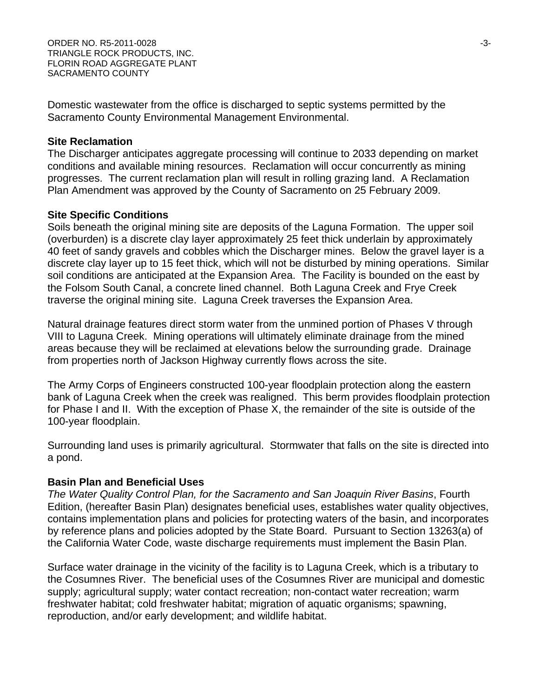ORDER NO. R5-2011-0028 -3- TRIANGLE ROCK PRODUCTS, INC. FLORIN ROAD AGGREGATE PLANT SACRAMENTO COUNTY

Domestic wastewater from the office is discharged to septic systems permitted by the Sacramento County Environmental Management Environmental.

#### **Site Reclamation**

The Discharger anticipates aggregate processing will continue to 2033 depending on market conditions and available mining resources. Reclamation will occur concurrently as mining progresses. The current reclamation plan will result in rolling grazing land. A Reclamation Plan Amendment was approved by the County of Sacramento on 25 February 2009.

#### **Site Specific Conditions**

Soils beneath the original mining site are deposits of the Laguna Formation. The upper soil (overburden) is a discrete clay layer approximately 25 feet thick underlain by approximately 40 feet of sandy gravels and cobbles which the Discharger mines. Below the gravel layer is a discrete clay layer up to 15 feet thick, which will not be disturbed by mining operations. Similar soil conditions are anticipated at the Expansion Area. The Facility is bounded on the east by the Folsom South Canal, a concrete lined channel. Both Laguna Creek and Frye Creek traverse the original mining site. Laguna Creek traverses the Expansion Area.

Natural drainage features direct storm water from the unmined portion of Phases V through VIII to Laguna Creek. Mining operations will ultimately eliminate drainage from the mined areas because they will be reclaimed at elevations below the surrounding grade. Drainage from properties north of Jackson Highway currently flows across the site.

The Army Corps of Engineers constructed 100-year floodplain protection along the eastern bank of Laguna Creek when the creek was realigned. This berm provides floodplain protection for Phase I and II. With the exception of Phase X, the remainder of the site is outside of the 100-year floodplain.

Surrounding land uses is primarily agricultural. Stormwater that falls on the site is directed into a pond.

## **Basin Plan and Beneficial Uses**

*The Water Quality Control Plan, for the Sacramento and San Joaquin River Basins*, Fourth Edition, (hereafter Basin Plan) designates beneficial uses, establishes water quality objectives, contains implementation plans and policies for protecting waters of the basin, and incorporates by reference plans and policies adopted by the State Board. Pursuant to Section 13263(a) of the California Water Code, waste discharge requirements must implement the Basin Plan.

Surface water drainage in the vicinity of the facility is to Laguna Creek, which is a tributary to the Cosumnes River. The beneficial uses of the Cosumnes River are municipal and domestic supply; agricultural supply; water contact recreation; non-contact water recreation; warm freshwater habitat; cold freshwater habitat; migration of aquatic organisms; spawning, reproduction, and/or early development; and wildlife habitat.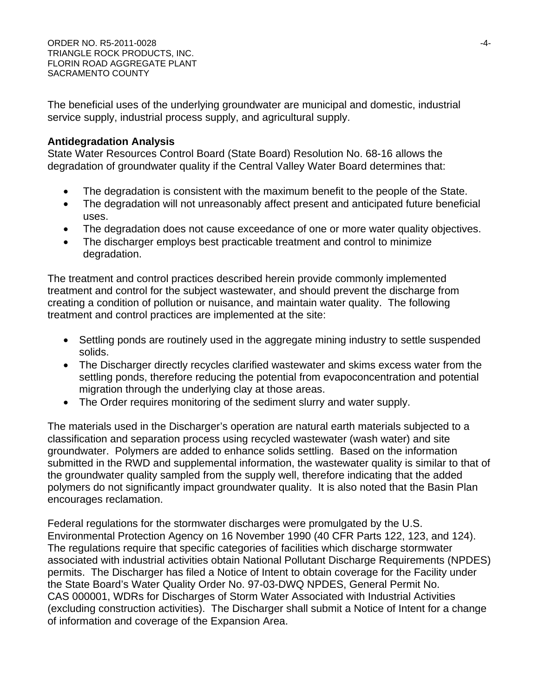The beneficial uses of the underlying groundwater are municipal and domestic, industrial service supply, industrial process supply, and agricultural supply.

# **Antidegradation Analysis**

State Water Resources Control Board (State Board) Resolution No. 68-16 allows the degradation of groundwater quality if the Central Valley Water Board determines that:

- The degradation is consistent with the maximum benefit to the people of the State.
- The degradation will not unreasonably affect present and anticipated future beneficial uses.
- The degradation does not cause exceedance of one or more water quality objectives.
- The discharger employs best practicable treatment and control to minimize degradation.

The treatment and control practices described herein provide commonly implemented treatment and control for the subject wastewater, and should prevent the discharge from creating a condition of pollution or nuisance, and maintain water quality. The following treatment and control practices are implemented at the site:

- Settling ponds are routinely used in the aggregate mining industry to settle suspended solids.
- The Discharger directly recycles clarified wastewater and skims excess water from the settling ponds, therefore reducing the potential from evapoconcentration and potential migration through the underlying clay at those areas.
- The Order requires monitoring of the sediment slurry and water supply.

The materials used in the Discharger's operation are natural earth materials subjected to a classification and separation process using recycled wastewater (wash water) and site groundwater. Polymers are added to enhance solids settling. Based on the information submitted in the RWD and supplemental information, the wastewater quality is similar to that of the groundwater quality sampled from the supply well, therefore indicating that the added polymers do not significantly impact groundwater quality. It is also noted that the Basin Plan encourages reclamation.

Federal regulations for the stormwater discharges were promulgated by the U.S. Environmental Protection Agency on 16 November 1990 (40 CFR Parts 122, 123, and 124). The regulations require that specific categories of facilities which discharge stormwater associated with industrial activities obtain National Pollutant Discharge Requirements (NPDES) permits. The Discharger has filed a Notice of Intent to obtain coverage for the Facility under the State Board's Water Quality Order No. 97-03-DWQ NPDES, General Permit No. CAS 000001, WDRs for Discharges of Storm Water Associated with Industrial Activities (excluding construction activities). The Discharger shall submit a Notice of Intent for a change of information and coverage of the Expansion Area.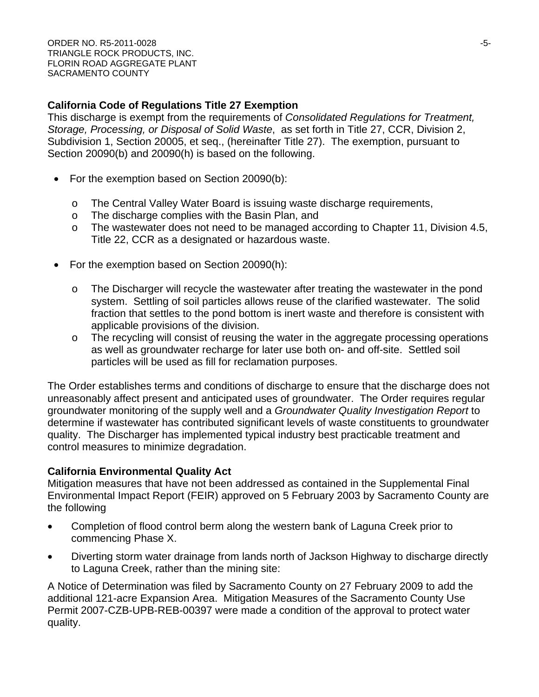# **California Code of Regulations Title 27 Exemption**

This discharge is exempt from the requirements of *Consolidated Regulations for Treatment, Storage, Processing, or Disposal of Solid Waste*, as set forth in Title 27, CCR, Division 2, Subdivision 1, Section 20005, et seq., (hereinafter Title 27). The exemption, pursuant to Section 20090(b) and 20090(h) is based on the following.

- For the exemption based on Section 20090(b):
	- o The Central Valley Water Board is issuing waste discharge requirements,
	- o The discharge complies with the Basin Plan, and
	- o The wastewater does not need to be managed according to Chapter 11, Division 4.5, Title 22, CCR as a designated or hazardous waste.
- For the exemption based on Section 20090(h):
	- o The Discharger will recycle the wastewater after treating the wastewater in the pond system. Settling of soil particles allows reuse of the clarified wastewater. The solid fraction that settles to the pond bottom is inert waste and therefore is consistent with applicable provisions of the division.
	- o The recycling will consist of reusing the water in the aggregate processing operations as well as groundwater recharge for later use both on- and off-site. Settled soil particles will be used as fill for reclamation purposes.

The Order establishes terms and conditions of discharge to ensure that the discharge does not unreasonably affect present and anticipated uses of groundwater. The Order requires regular groundwater monitoring of the supply well and a *Groundwater Quality Investigation Report* to determine if wastewater has contributed significant levels of waste constituents to groundwater quality. The Discharger has implemented typical industry best practicable treatment and control measures to minimize degradation.

# **California Environmental Quality Act**

Mitigation measures that have not been addressed as contained in the Supplemental Final Environmental Impact Report (FEIR) approved on 5 February 2003 by Sacramento County are the following

- Completion of flood control berm along the western bank of Laguna Creek prior to commencing Phase X.
- Diverting storm water drainage from lands north of Jackson Highway to discharge directly to Laguna Creek, rather than the mining site:

A Notice of Determination was filed by Sacramento County on 27 February 2009 to add the additional 121-acre Expansion Area. Mitigation Measures of the Sacramento County Use Permit 2007-CZB-UPB-REB-00397 were made a condition of the approval to protect water quality.